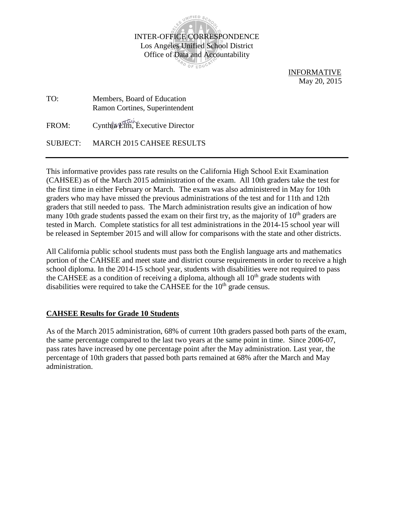

 INFORMATIVE May 20, 2015

TO: Members, Board of Education Ramon Cortines, Superintendent FROM: Cynthia Lim, Executive Director SUBJECT: MARCH 2015 CAHSEE RESULTS

This informative provides pass rate results on the California High School Exit Examination (CAHSEE) as of the March 2015 administration of the exam. All 10th graders take the test for the first time in either February or March. The exam was also administered in May for 10th graders who may have missed the previous administrations of the test and for 11th and 12th graders that still needed to pass. The March administration results give an indication of how many 10th grade students passed the exam on their first try, as the majority of  $10<sup>th</sup>$  graders are tested in March. Complete statistics for all test administrations in the 2014-15 school year will be released in September 2015 and will allow for comparisons with the state and other districts.

All California public school students must pass both the English language arts and mathematics portion of the CAHSEE and meet state and district course requirements in order to receive a high school diploma. In the 2014-15 school year, students with disabilities were not required to pass the CAHSEE as a condition of receiving a diploma, although all  $10<sup>th</sup>$  grade students with disabilities were required to take the CAHSEE for the  $10<sup>th</sup>$  grade census.

## **CAHSEE Results for Grade 10 Students**

As of the March 2015 administration, 68% of current 10th graders passed both parts of the exam, the same percentage compared to the last two years at the same point in time. Since 2006-07, pass rates have increased by one percentage point after the May administration. Last year, the percentage of 10th graders that passed both parts remained at 68% after the March and May administration.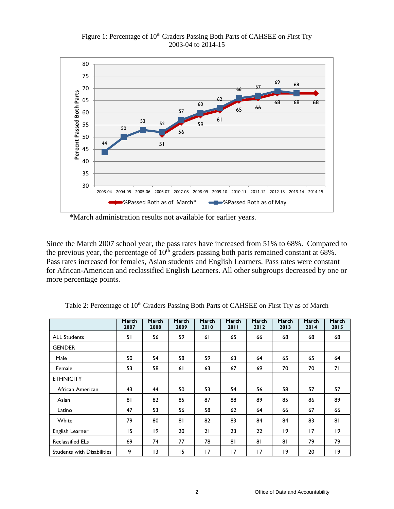Figure 1: Percentage of 10<sup>th</sup> Graders Passing Both Parts of CAHSEE on First Try 2003-04 to 2014-15



\*March administration results not available for earlier years.

Since the March 2007 school year, the pass rates have increased from 51% to 68%. Compared to the previous year, the percentage of  $10<sup>th</sup>$  graders passing both parts remained constant at 68%. Pass rates increased for females, Asian students and English Learners. Pass rates were constant for African-American and reclassified English Learners. All other subgroups decreased by one or more percentage points.

|                                   | March<br>2007 | March<br>2008   | March<br>2009 | March<br>2010 | March<br>2011 | March<br>2012 | March<br>2013 | March<br>2014 | March<br>2015 |
|-----------------------------------|---------------|-----------------|---------------|---------------|---------------|---------------|---------------|---------------|---------------|
| <b>ALL Students</b>               | 51            | 56              | 59            | 61            | 65            | 66            | 68            | 68            | 68            |
| <b>GENDER</b>                     |               |                 |               |               |               |               |               |               |               |
| Male                              | 50            | 54              | 58            | 59            | 63            | 64            | 65            | 65            | 64            |
| Female                            | 53            | 58              | 61            | 63            | 67            | 69            | 70            | 70            | 71            |
| <b>ETHNICITY</b>                  |               |                 |               |               |               |               |               |               |               |
| African American                  | 43            | 44              | 50            | 53            | 54            | 56            | 58            | 57            | 57            |
| Asian                             | 81            | 82              | 85            | 87            | 88            | 89            | 85            | 86            | 89            |
| Latino                            | 47            | 53              | 56            | 58            | 62            | 64            | 66            | 67            | 66            |
| White                             | 79            | 80              | 81            | 82            | 83            | 84            | 84            | 83            | 81            |
| English Learner                   | 15            | 19              | 20            | 21            | 23            | 22            | 19            | 17            | 19            |
| <b>Reclassified ELs</b>           | 69            | 74              | 77            | 78            | 81            | 81            | 81            | 79            | 79            |
| <b>Students with Disabilities</b> | 9             | $\overline{13}$ | 15            | 17            | 17            | 17            | 19            | 20            | $ 9\rangle$   |

Table 2: Percentage of 10<sup>th</sup> Graders Passing Both Parts of CAHSEE on First Try as of March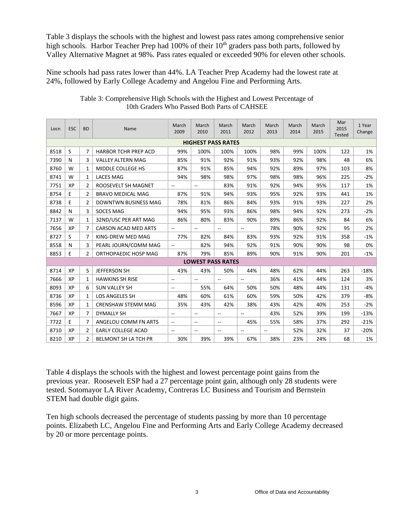Table 3 displays the schools with the highest and lowest pass rates among comprehensive senior high schools. Harbor Teacher Prep had  $100\%$  of their  $10<sup>th</sup>$  graders pass both parts, followed by Valley Alternative Magnet at 98%. Pass rates equaled or exceeded 90% for eleven other schools.

Nine schools had pass rates lower than 44%. LA Teacher Prep Academy had the lowest rate at 24%, followed by Early College Academy and Angelou Fine and Performing Arts.

| Locn                      | <b>ESC</b> | <b>BD</b>      | Name                        | March<br>2009               | March<br>2010            | March<br>2011            | March<br>2012            | March<br>2013 | March<br>2014 | March<br>2015 | Mar<br>2015<br><b>Tested</b> | 1 Year<br>Change |
|---------------------------|------------|----------------|-----------------------------|-----------------------------|--------------------------|--------------------------|--------------------------|---------------|---------------|---------------|------------------------------|------------------|
| <b>HIGHEST PASS RATES</b> |            |                |                             |                             |                          |                          |                          |               |               |               |                              |                  |
| 8518                      | S          | 7              | <b>HARBOR TCHR PREP ACD</b> | 99%                         | 100%                     | 100%                     | 100%                     | 98%           | 99%           | 100%          | 122                          | 1%               |
| 7390                      | N          | 3              | <b>VALLEY ALTERN MAG</b>    | 85%                         | 91%                      | 92%                      | 91%                      | 93%           | 92%           | 98%           | 48                           | 6%               |
| 8760                      | W          | 1              | MIDDLE COLLEGE HS           | 87%                         | 91%                      | 85%                      | 94%                      | 92%           | 89%           | 97%           | 103                          | 8%               |
| 8741                      | W          | $\mathbf{1}$   | <b>LACES MAG</b>            | 94%                         | 98%                      | 98%                      | 97%                      | 98%           | 98%           | 96%           | 225                          | $-2%$            |
| 7751                      | XP         | 2              | ROOSEVELT SH MAGNET         | $\mathcal{L}_{\mathcal{F}}$ | $\overline{\phantom{a}}$ | 83%                      | 91%                      | 92%           | 94%           | 95%           | 117                          | 1%               |
| 8754                      | Ε          | 2              | <b>BRAVO MEDICAL MAG</b>    | 87%                         | 91%                      | 94%                      | 93%                      | 95%           | 92%           | 93%           | 441                          | 1%               |
| 8738                      | E          | $\overline{2}$ | <b>DOWNTWN BUSINESS MAG</b> | 78%                         | 81%                      | 86%                      | 84%                      | 93%           | 91%           | 93%           | 227                          | 2%               |
| 8842                      | N          | 3              | <b>SOCES MAG</b>            | 94%                         | 95%                      | 93%                      | 86%                      | 98%           | 94%           | 92%           | 273                          | $-2%$            |
| 7137                      | W          | $\mathbf{1}$   | 32ND/USC PER ART MAG        | 86%                         | 80%                      | 83%                      | 90%                      | 89%           | 86%           | 92%           | 84                           | 6%               |
| 7656                      | XP         | $\overline{7}$ | CARSON ACAD MED ARTS        | $\overline{a}$              | $\sim$ $\sim$            | Ξ.                       | $\overline{a}$           | 78%           | 90%           | 92%           | 95                           | 2%               |
| 8727                      | S          | 7              | KING-DREW MED MAG           | 77%                         | 82%                      | 84%                      | 83%                      | 93%           | 92%           | 91%           | 358                          | $-1%$            |
| 8558                      | N          | 3              | PEARL JOURN/COMM MAG        | $\overline{\phantom{a}}$    | 82%                      | 94%                      | 92%                      | 91%           | 90%           | 90%           | 98                           | 0%               |
| 8853                      | E          | $\overline{2}$ | ORTHOPAEDIC HOSP MAG        | 87%                         | 79%                      | 85%                      | 89%                      | 90%           | 91%           | 90%           | 201                          | $-1%$            |
|                           |            |                |                             |                             | <b>LOWEST PASS RATES</b> |                          |                          |               |               |               |                              |                  |
| 8714                      | XP         | 5              | JEFFERSON SH                | 43%                         | 43%                      | 50%                      | 44%                      | 48%           | 62%           | 44%           | 263                          | $-18%$           |
| 7666                      | XP         | $\mathbf{1}$   | <b>HAWKINS SH RISE</b>      | $\overline{a}$              | --                       | $\overline{a}$           | $\overline{\phantom{a}}$ | 36%           | 41%           | 44%           | 124                          | 3%               |
| 8093                      | XP         | 6              | <b>SUN VALLEY SH</b>        | $\overline{\phantom{a}}$    | 55%                      | 64%                      | 50%                      | 50%           | 48%           | 44%           | 131                          | -4%              |
| 8736                      | XP         | 1              | <b>LOS ANGELES SH</b>       | 48%                         | 60%                      | 61%                      | 60%                      | 59%           | 50%           | 42%           | 379                          | $-8%$            |
| 8596                      | XP         | 1              | <b>CRENSHAW STEMM MAG</b>   | 35%                         | 43%                      | 42%                      | 38%                      | 43%           | 42%           | 40%           | 253                          | $-2%$            |
| 7667                      | XP         | 7              | <b>DYMALLY SH</b>           | $\overline{\phantom{a}}$    | --                       | --                       | $\overline{\phantom{a}}$ | 43%           | 52%           | 39%           | 199                          | $-13%$           |
| 7722                      | E          | 7              | ANGELOU COMM FN ARTS        | $\overline{\phantom{a}}$    | --                       | $\overline{\phantom{a}}$ | 45%                      | 55%           | 58%           | 37%           | 292                          | $-21%$           |
| 8710                      | XP         | 2              | <b>EARLY COLLEGE ACAD</b>   | $\overline{\phantom{a}}$    | $- -$                    | --                       | $\sim$                   |               | 52%           | 32%           | 37                           | $-20%$           |
| 8210                      | XP         | $\overline{2}$ | <b>BELMONT SH LA TCH PR</b> | 30%                         | 39%                      | 39%                      | 67%                      | 38%           | 23%           | 24%           | 68                           | 1%               |

Table 3: Comprehensive High Schools with the Highest and Lowest Percentage of 10th Graders Who Passed Both Parts of CAHSEE

Table 4 displays the schools with the highest and lowest percentage point gains from the previous year. Roosevelt ESP had a 27 percentage point gain, although only 28 students were tested. Sotomayor LA River Academy, Contreras LC Business and Tourism and Bernstein STEM had double digit gains.

Ten high schools decreased the percentage of students passing by more than 10 percentage points. Elizabeth LC, Angelou Fine and Performing Arts and Early College Academy decreased by 20 or more percentage points.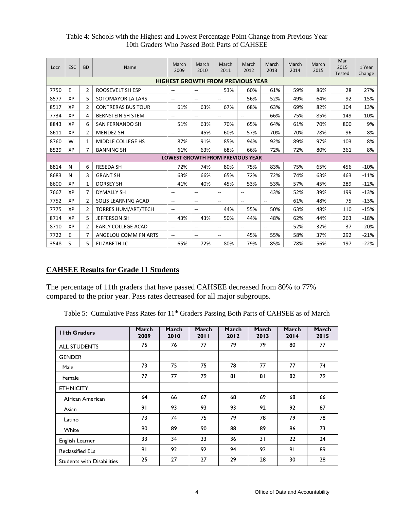| Locn | ESC                                      | <b>BD</b>      | Name                       | March<br>2009            | March<br>2010                           | March<br>2011            | March<br>2012            | March<br>2013  | March<br>2014 | March<br>2015 | Mar<br>2015<br><b>Tested</b> | 1 Year<br>Change |
|------|------------------------------------------|----------------|----------------------------|--------------------------|-----------------------------------------|--------------------------|--------------------------|----------------|---------------|---------------|------------------------------|------------------|
|      | <b>HIGHEST GROWTH FROM PREVIOUS YEAR</b> |                |                            |                          |                                         |                          |                          |                |               |               |                              |                  |
| 7750 | E                                        | $\overline{2}$ | ROOSEVELT SH ESP           | $\sim$                   | $\overline{\phantom{a}}$                | 53%                      | 60%                      | 61%            | 59%           | 86%           | 28                           | 27%              |
| 8577 | XP                                       | 5              | SOTOMAYOR LA LARS          | $\sim$                   | $\overline{\phantom{a}}$                | $-$                      | 56%                      | 52%            | 49%           | 64%           | 92                           | 15%              |
| 8517 | XP                                       | 2              | <b>CONTRERAS BUS TOUR</b>  | 61%                      | 63%                                     | 67%                      | 68%                      | 63%            | 69%           | 82%           | 104                          | 13%              |
| 7734 | XP                                       | 4              | <b>BERNSTEIN SH STEM</b>   | $\sim$                   | $\sim$ $\sim$                           | $\overline{\phantom{a}}$ | $\overline{\phantom{a}}$ | 66%            | 75%           | 85%           | 149                          | 10%              |
| 8843 | XP                                       | 6              | SAN FERNANDO SH            | 51%                      | 63%                                     | 70%                      | 65%                      | 64%            | 61%           | 70%           | 800                          | 9%               |
| 8611 | XP                                       | 2              | <b>MENDEZ SH</b>           | --                       | 45%                                     | 60%                      | 57%                      | 70%            | 70%           | 78%           | 96                           | 8%               |
| 8760 | W                                        | 1              | MIDDLE COLLEGE HS          | 87%                      | 91%                                     | 85%                      | 94%                      | 92%            | 89%           | 97%           | 103                          | 8%               |
| 8529 | XP                                       | 7              | <b>BANNING SH</b>          | 61%                      | 63%                                     | 68%                      | 66%                      | 72%            | 72%           | 80%           | 361                          | 8%               |
|      |                                          |                |                            |                          | <b>LOWEST GROWTH FROM PREVIOUS YEAR</b> |                          |                          |                |               |               |                              |                  |
| 8814 | N                                        | 6              | <b>RESEDA SH</b>           | 72%                      | 74%                                     | 80%                      | 75%                      | 83%            | 75%           | 65%           | 456                          | $-10%$           |
| 8683 | N                                        | 3              | <b>GRANT SH</b>            | 63%                      | 66%                                     | 65%                      | 72%                      | 72%            | 74%           | 63%           | 463                          | $-11%$           |
| 8600 | XP                                       | 1              | <b>DORSEY SH</b>           | 41%                      | 40%                                     | 45%                      | 53%                      | 53%            | 57%           | 45%           | 289                          | $-12%$           |
| 7667 | XP                                       | 7              | <b>DYMALLY SH</b>          | $\sim$                   | $\overline{\phantom{a}}$                | $-$                      | $\overline{\phantom{a}}$ | 43%            | 52%           | 39%           | 199                          | $-13%$           |
| 7752 | XP                                       | $\overline{2}$ | SOLIS LEARNING ACAD        | $\overline{\phantom{a}}$ | $\overline{\phantom{a}}$                | $\overline{\phantom{a}}$ | $- -$                    | $\overline{a}$ | 61%           | 48%           | 75                           | $-13%$           |
| 7775 | XP                                       | $\overline{2}$ | <b>TORRES HUM/ART/TECH</b> | $\overline{\phantom{a}}$ | $\overline{\phantom{a}}$                | 44%                      | 55%                      | 50%            | 63%           | 48%           | 110                          | $-15%$           |
| 8714 | XP                                       | 5              | <b>JEFFERSON SH</b>        | 43%                      | 43%                                     | 50%                      | 44%                      | 48%            | 62%           | 44%           | 263                          | $-18%$           |
| 8710 | XP                                       | 2              | <b>EARLY COLLEGE ACAD</b>  | $-$                      | $-$                                     | $-$                      | $-$                      | $\overline{a}$ | 52%           | 32%           | 37                           | $-20%$           |
| 7722 | E                                        | 7              | ANGELOU COMM FN ARTS       | $\sim$                   | $\sim$ $\sim$                           | $\overline{\phantom{a}}$ | 45%                      | 55%            | 58%           | 37%           | 292                          | $-21%$           |
| 3548 | S                                        | 5              | <b>ELIZABETH LC</b>        | 65%                      | 72%                                     | 80%                      | 79%                      | 85%            | 78%           | 56%           | 197                          | $-22%$           |

## Table 4: Schools with the Highest and Lowest Percentage Point Change from Previous Year 10th Graders Who Passed Both Parts of CAHSEE

## **CAHSEE Results for Grade 11 Students**

The percentage of 11th graders that have passed CAHSEE decreased from 80% to 77% compared to the prior year. Pass rates decreased for all major subgroups.

Table 5: Cumulative Pass Rates for 11<sup>th</sup> Graders Passing Both Parts of CAHSEE as of March

| <b>Ilth Graders</b>               | March<br>2009 | March<br>2010 | March<br>2011 | March<br>2012 | March<br>2013 | March<br>2014 | March<br>2015 |
|-----------------------------------|---------------|---------------|---------------|---------------|---------------|---------------|---------------|
| <b>ALL STUDENTS</b>               | 75            | 76            | 77            | 79            | 79            | 80            | 77            |
| <b>GENDER</b>                     |               |               |               |               |               |               |               |
| Male                              | 73            | 75            | 75            | 78            | 77            | 77            | 74            |
| Female                            | 77            | 77            | 79            | 81            | 81            | 82            | 79            |
| <b>ETHNICITY</b>                  |               |               |               |               |               |               |               |
| African American                  | 64            | 66            | 67            | 68            | 69            | 68            | 66            |
| Asian                             | 91            | 93            | 93            | 93            | 92            | 92            | 87            |
| Latino                            | 73            | 74            | 75            | 79            | 78            | 79            | 78            |
| White                             | 90            | 89            | 90            | 88            | 89            | 86            | 73            |
| English Learner                   | 33            | 34            | 33            | 36            | 31            | 22            | 24            |
| <b>Reclassified ELs</b>           | 91            | 92            | 92            | 94            | 92            | 91            | 89            |
| <b>Students with Disabilities</b> | 25            | 27            | 27            | 29            | 28            | 30            | 28            |